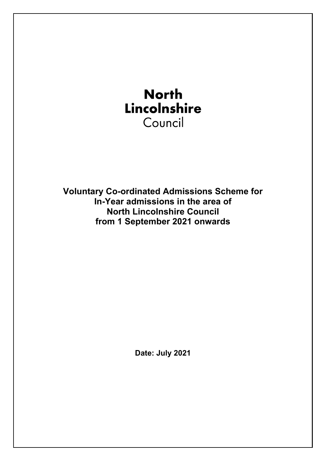

**Voluntary Co-ordinated Admissions Scheme for In-Year admissions in the area of North Lincolnshire Council from 1 September 2021 onwards**

**Date: July 2021**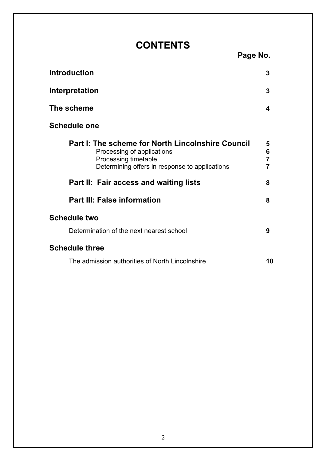# **CONTENTS Page No.**

| <b>Introduction</b>                                                                                                                                       | 3                |
|-----------------------------------------------------------------------------------------------------------------------------------------------------------|------------------|
| Interpretation                                                                                                                                            | 3                |
| The scheme                                                                                                                                                | 4                |
| <b>Schedule one</b>                                                                                                                                       |                  |
| Part I: The scheme for North Lincolnshire Council<br>Processing of applications<br>Processing timetable<br>Determining offers in response to applications | 5<br>6<br>7<br>7 |
| Part II: Fair access and waiting lists                                                                                                                    | 8                |
| <b>Part III: False information</b>                                                                                                                        | 8                |
| <b>Schedule two</b><br>Determination of the next nearest school                                                                                           | 9                |
| <b>Schedule three</b>                                                                                                                                     |                  |
| The admission authorities of North Lincolnshire                                                                                                           | 10               |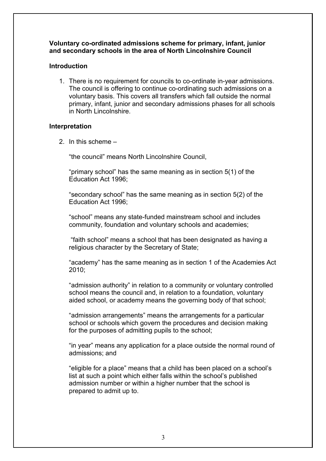#### **Voluntary co-ordinated admissions scheme for primary, infant, junior and secondary schools in the area of North Lincolnshire Council**

# **Introduction**

1. There is no requirement for councils to co-ordinate in-year admissions. The council is offering to continue co-ordinating such admissions on a voluntary basis. This covers all transfers which fall outside the normal primary, infant, junior and secondary admissions phases for all schools in North Lincolnshire.

### **Interpretation**

2. In this scheme –

"the council" means North Lincolnshire Council,

"primary school" has the same meaning as in section 5(1) of the Education Act 1996;

"secondary school" has the same meaning as in section 5(2) of the Education Act 1996;

"school" means any state-funded mainstream school and includes community, foundation and voluntary schools and academies;

"faith school" means a school that has been designated as having a religious character by the Secretary of State;

"academy" has the same meaning as in section 1 of the Academies Act 2010;

"admission authority" in relation to a community or voluntary controlled school means the council and, in relation to a foundation, voluntary aided school, or academy means the governing body of that school;

"admission arrangements" means the arrangements for a particular school or schools which govern the procedures and decision making for the purposes of admitting pupils to the school;

"in year" means any application for a place outside the normal round of admissions; and

"eligible for a place" means that a child has been placed on a school's list at such a point which either falls within the school's published admission number or within a higher number that the school is prepared to admit up to.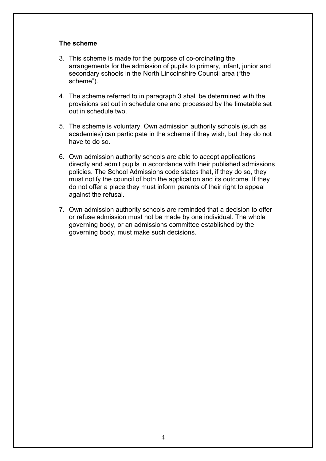#### **The scheme**

- 3. This scheme is made for the purpose of co-ordinating the arrangements for the admission of pupils to primary, infant, junior and secondary schools in the North Lincolnshire Council area ("the scheme").
- 4. The scheme referred to in paragraph 3 shall be determined with the provisions set out in schedule one and processed by the timetable set out in schedule two.
- 5. The scheme is voluntary. Own admission authority schools (such as academies) can participate in the scheme if they wish, but they do not have to do so.
- 6. O wn admission authority schools are able to accept applications di rectly and admit pupils in accordance with their published admissions p olicies. The School Admissions code states that, if they do so, they m ust notify the council of both the application and its outcome. If they d o not offer a place they must inform parents of their right to appeal a gainst the refusal.
- 7. O wn admission authority schools are reminded that a decision to offer o r refuse admission must not be made by one individual. The whole g overning body, or an admissions committee established by the g overning body, must make such decisions.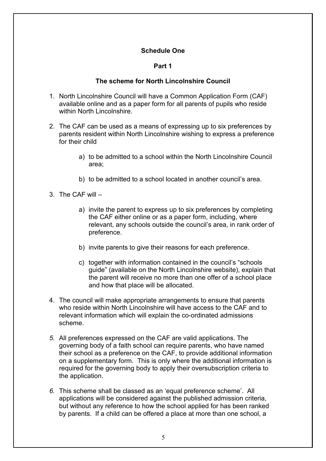# **Schedule One**

# **Part 1**

# **The scheme for North Lincolnshire Council**

- 1. North Lincolnshire Council will have a Common Application Form (CAF) available online and as a paper form for all parents of pupils who reside within North Lincolnshire.
- 2. The CAF can be used as a means of expressing up to six preferences by parents resident within North Lincolnshire wishing to express a preference for their child
	- a) to be admitted to a school within the North Lincolnshire Council area;
	- b) to be admitted to a school located in another council's area.
- 3. The CAF will
	- a) invite the parent to express up to six preferences by completing the CAF either online or as a paper form, including, where relevant, any schools outside the council's area, in rank order of preference.
	- b) invite parents to give their reasons for each preference.
	- c) together with information contained in the council's "schools guide" (available on the North Lincolnshire website), explain that the parent will receive no more than one offer of a school place and how that place will be allocated.
- 4. The council will make appropriate arrangements to ensure that parents who reside within North Lincolnshire will have access to the CAF and to relevant information which will explain the co-ordinated admissions scheme.
- *5.* All preferences expressed on the CAF are valid applications. The governing body of a faith school can require parents, who have named their school as a preference on the CAF, to provide additional information on a supplementary form. This is only where the additional information is required for the governing body to apply their oversubscription criteria to the application.
- *6.* This scheme shall be classed as an 'equal preference scheme'. All applications will be considered against the published admission criteria, but without any reference to how the school applied for has been ranked by parents. If a child can be offered a place at more than one school, a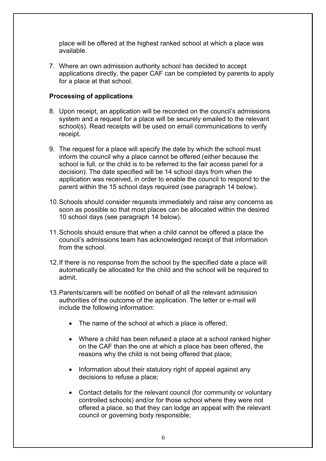place will be offered at the highest ranked school at which a place was available.

7. Where an own admission authority school has decided to accept applications directly, the paper CAF can be completed by parents to apply for a place at that school.

# **Processing of applications**

- 8. Upon receipt, an application will be recorded on the council's admissions system and a request for a place will be securely emailed to the relevant school(s). Read receipts will be used on email communications to verify receipt.
- 9. The request for a place will specify the date by which the school must inform the council why a place cannot be offered (either because the school is full, or the child is to be referred to the fair access panel for a decision). The date specified will be 14 school days from when the application was received, in order to enable the council to respond to the parent within the 15 school days required (see paragraph 14 below).
- 10.Schools should consider requests immediately and raise any concerns as soon as possible so that most places can be allocated within the desired 10 school days (see paragraph 14 below).
- 11.Schools should ensure that when a child cannot be offered a place the council's admissions team has acknowledged receipt of that information from the school.
- 12.If there is no response from the school by the specified date a place will automatically be allocated for the child and the school will be required to admit.
- 13. Parents/carers will be notified on behalf of all the relevant admission authorities of the outcome of the application. The letter or e-mail will include the following information:
	- The name of the school at which a place is offered;
	- Where a child has been refused a place at a school ranked higher on the CAF than the one at which a place has been offered, the reasons why the child is not being offered that place;
	- Information about their statutory right of appeal against any decisions to refuse a place;
	- Contact details for the relevant council (for community or voluntary controlled schools) and/or for those school where they were not offered a place, so that they can lodge an appeal with the relevant council or governing body responsible;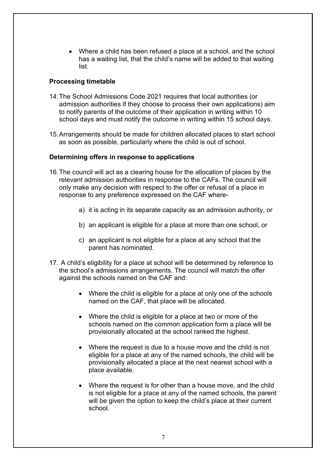• Where a child has been refused a place at a school, and the school has a waiting list, that the child's name will be added to that waiting list.

# **Processing timetable**

- 14.The School Admissions Code 2021 requires that local authorities (or admission authorities if they choose to process their own applications) aim to notify parents of the outcome of their application in writing within 10 school days and must notify the outcome in writing within 15 school days.
- 15.Arrangements should be made for children allocated places to start school as soon as possible, particularly where the child is out of school.

# **Determining offers in response to applications**

- 16.The council will act as a clearing house for the allocation of places by the relevant admission authorities in response to the CAFs. The council will only make any decision with respect to the offer or refusal of a place in response to any preference expressed on the CAF where
	- a) it is acting in its separate capacity as an admission authority, or
	- b) an applicant is eligible for a place at more than one school, or
	- c) an applicant is not eligible for a place at any school that the parent has nominated.
- 17. A child's eligibility for a place at school will be determined by reference to the school's admissions arrangements. The council will match the offer against the schools named on the CAF and:
	- Where the child is eligible for a place at only one of the schools named on the CAF, that place will be allocated.
	- Where the child is eligible for a place at two or more of the schools named on the common application form a place will be provisionally allocated at the school ranked the highest.
	- Where the request is due to a house move and the child is not eligible for a place at any of the named schools, the child will be provisionally allocated a place at the next nearest school with a place available.
	- Where the request is for other than a house move, and the child is not eligible for a place at any of the named schools, the parent will be given the option to keep the child's place at their current school.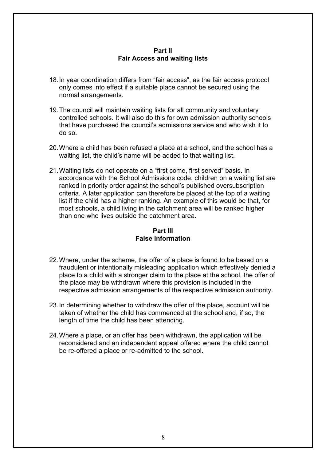### **Part II Fair Access and waiting lists**

- 18.In year coordination differs from "fair access", as the fair access protocol only comes into effect if a suitable place cannot be secured using the normal arrangements.
- 19.The council will maintain waiting lists for all community and voluntary controlled schools. It will also do this for own admission authority schools that have purchased the council's admissions service and who wish it to do so.
- 20.Where a child has been refused a place at a school, and the school has a waiting list, the child's name will be added to that waiting list.
- 21.Waiting lists do not operate on a "first come, first served" basis. In accordance with the School Admissions code, children on a waiting list are ranked in priority order against the school's published oversubscription criteria. A later application can therefore be placed at the top of a waiting list if the child has a higher ranking. An example of this would be that, for most schools, a child living in the catchment area will be ranked higher than one who lives outside the catchment area.

# **Part III False information**

- 22.Where, under the scheme, the offer of a place is found to be based on a fraudulent or intentionally misleading application which effectively denied a place to a child with a stronger claim to the place at the school, the offer of the place may be withdrawn where this provision is included in the respective admission arrangements of the respective admission authority.
- 23.In determining whether to withdraw the offer of the place, account will be taken of whether the child has commenced at the school and, if so, the length of time the child has been attending.
- 24.Where a place, or an offer has been withdrawn, the application will be reconsidered and an independent appeal offered where the child cannot be re-offered a place or re-admitted to the school.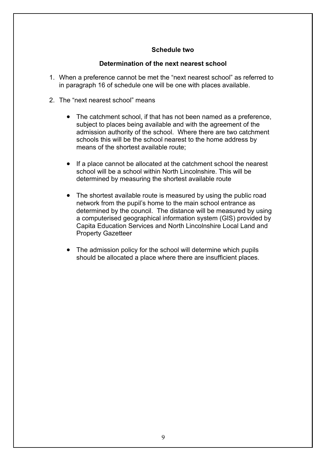# **Schedule two**

# **Determination of the next nearest school**

- 1. When a preference cannot be met the "next nearest school" as referred to in paragraph 16 of schedule one will be one with places available.
- 2. The "next nearest school" means
	- The catchment school, if that has not been named as a preference, subject to places being available and with the agreement of the admission authority of the school. Where there are two catchment schools this will be the school nearest to the home address by means of the shortest available route;
	- If a place cannot be allocated at the catchment school the nearest school will be a school within North Lincolnshire. This will be determined by measuring the shortest available route
	- The shortest available route is measured by using the public road network from the pupil's home to the main school entrance as determined by the council. The distance will be measured by using a computerised geographical information system (GIS) provided by Capita Education Services and North Lincolnshire Local Land and Property Gazetteer
	- The admission policy for the school will determine which pupils should be allocated a place where there are insufficient places.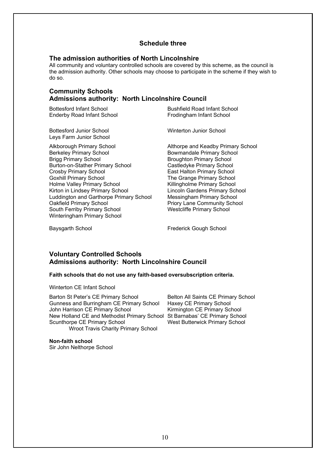#### **Schedule three**

#### **The admission authorities of North Lincolnshire**

All community and voluntary controlled schools are covered by this scheme, as the council is the admission authority. Other schools may choose to participate in the scheme if they wish to do so.

#### **Community Schools Admissions authority: North Lincolnshire Council**

Enderby Road Infant School **Frodingham Infant School** 

Bottesford Junior School Winterton Junior School Leys Farm Junior School

Alkborough Primary School **Althorpe and Keadby Primary School**<br>Berkeley Primary School **Althorpe Bowmandale Primary School** Berkeley Primary School Bowmandale Primary School Brigg Primary School Brigg Primary School Burton-on-Stather Primary School Castledyke Primary School Crosby Primary School East Halton Primary School Holme Valley Primary School **Killingholme Primary School** Kirton in Lindsey Primary School Lincoln Gardens Primary School<br>Luddington and Garthorpe Primary School Messingham Primary School Luddington and Garthorpe Primary School Oakfield Primary School **Priory Lane Community School** Priory Lane Community School South Ferriby Primary School Westcliffe Primary School Winteringham Primary School

Bottesford Infant School Bushfield Road Infant School

Broughton Primary School The Grange Primary School

Baysgarth School **Exercise School** Frederick Gough School

#### **Voluntary Controlled Schools Admissions authority: North Lincolnshire Council**

#### **Faith schools that do not use any faith-based oversubscription criteria.**

Winterton CE Infant School

Barton St Peter's CE Primary School Belton All Saints CE Primary School Gunness and Burringham CE Primary School Haxey CE Primary School Gunness and Burringham CE Primary School Haxey CE Primary School John Harrison CE Primary School New Holland CE and Methodist Primary School St Barnabas' CE Primary School Scunthorpe CE Primary School Wroot Travis Charity Primary School

**Non-faith school** Sir John Nelthorpe School